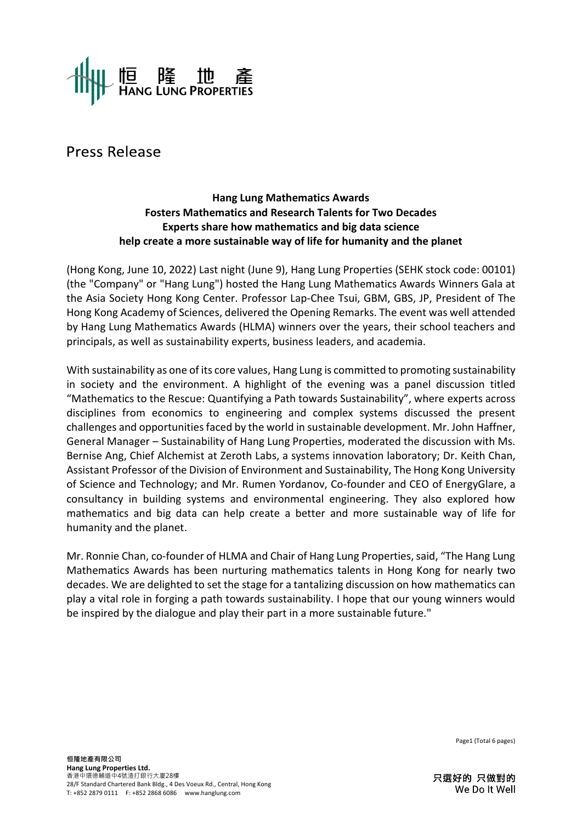

Press Release

## **Hang Lung Mathematics Awards Fosters Mathematics and Research Talents for Two Decades Experts share how mathematics and big data science help create a more sustainable way of life for humanity and the planet**

(Hong Kong, June 10, 2022) Last night (June 9), Hang Lung Properties (SEHK stock code: 00101) (the "Company" or "Hang Lung") hosted the Hang Lung Mathematics Awards Winners Gala at the Asia Society Hong Kong Center. Professor Lap-Chee Tsui, GBM, GBS, JP, President of The Hong Kong Academy of Sciences, delivered the Opening Remarks. The event was well attended by Hang Lung Mathematics Awards (HLMA) winners over the years, their school teachers and principals, as well as sustainability experts, business leaders, and academia.

With sustainability as one of its core values, Hang Lung is committed to promoting sustainability in society and the environment. A highlight of the evening was a panel discussion titled "Mathematics to the Rescue: Quantifying a Path towards Sustainability", where experts across disciplines from economics to engineering and complex systems discussed the present challenges and opportunities faced by the world in sustainable development. Mr. John Haffner, General Manager – Sustainability of Hang Lung Properties, moderated the discussion with Ms. Bernise Ang, Chief Alchemist at Zeroth Labs, a systems innovation laboratory; Dr. Keith Chan, Assistant Professor of the Division of Environment and Sustainability, The Hong Kong University of Science and Technology; and Mr. Rumen Yordanov, Co-founder and CEO of EnergyGlare, a consultancy in building systems and environmental engineering. They also explored how mathematics and big data can help create a better and more sustainable way of life for humanity and the planet.

Mr. Ronnie Chan, co-founder of HLMA and Chair of Hang Lung Properties, said, "The Hang Lung Mathematics Awards has been nurturing mathematics talents in Hong Kong for nearly two decades. We are delighted to set the stage for a tantalizing discussion on how mathematics can play a vital role in forging a path towards sustainability. I hope that our young winners would be inspired by the dialogue and play their part in a more sustainable future."

Page1 (Total 6 pages)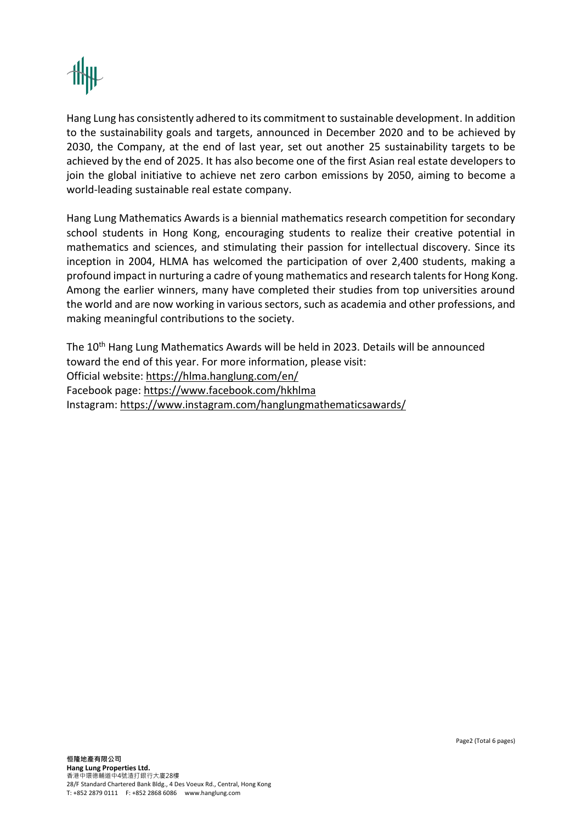

Hang Lung has consistently adhered to its commitment to sustainable development. In addition to the sustainability goals and targets, announced in December 2020 and to be achieved by 2030, the Company, at the end of last year, set out another 25 sustainability targets to be achieved by the end of 2025. It has also become one of the first Asian real estate developers to join the global initiative to achieve net zero carbon emissions by 2050, aiming to become a world-leading sustainable real estate company.

Hang Lung Mathematics Awards is a biennial mathematics research competition for secondary school students in Hong Kong, encouraging students to realize their creative potential in mathematics and sciences, and stimulating their passion for intellectual discovery. Since its inception in 2004, HLMA has welcomed the participation of over 2,400 students, making a profound impact in nurturing a cadre of young mathematics and research talents for Hong Kong. Among the earlier winners, many have completed their studies from top universities around the world and are now working in various sectors, such as academia and other professions, and making meaningful contributions to the society.

The 10<sup>th</sup> Hang Lung Mathematics Awards will be held in 2023. Details will be announced toward the end of this year. For more information, please visit: Official website:<https://hlma.hanglung.com/en/> Facebook page:<https://www.facebook.com/hkhlma> Instagram:<https://www.instagram.com/hanglungmathematicsawards/>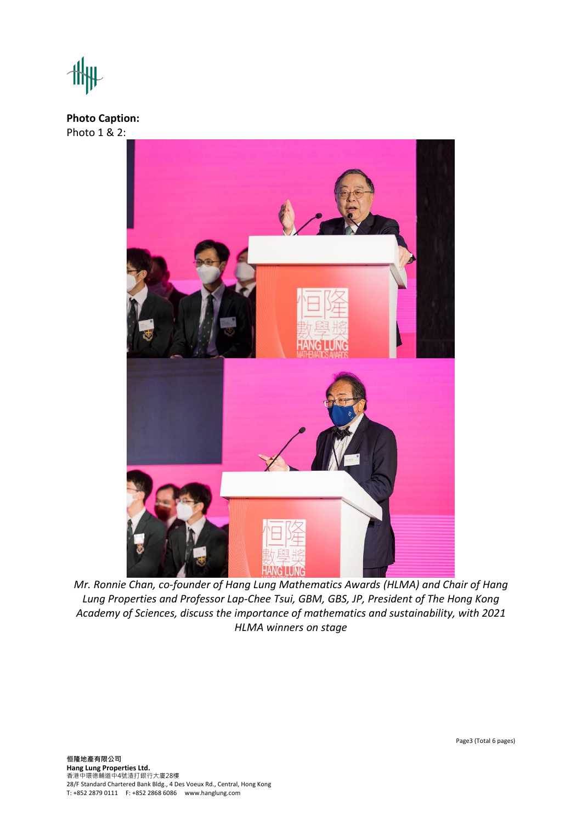## **Photo Caption:** Photo 1 & 2:



*Mr. Ronnie Chan, co-founder of Hang Lung Mathematics Awards (HLMA) and Chair of Hang Lung Properties and Professor Lap-Chee Tsui, GBM, GBS, JP, President of The Hong Kong Academy of Sciences, discuss the importance of mathematics and sustainability, with 2021 HLMA winners on stage*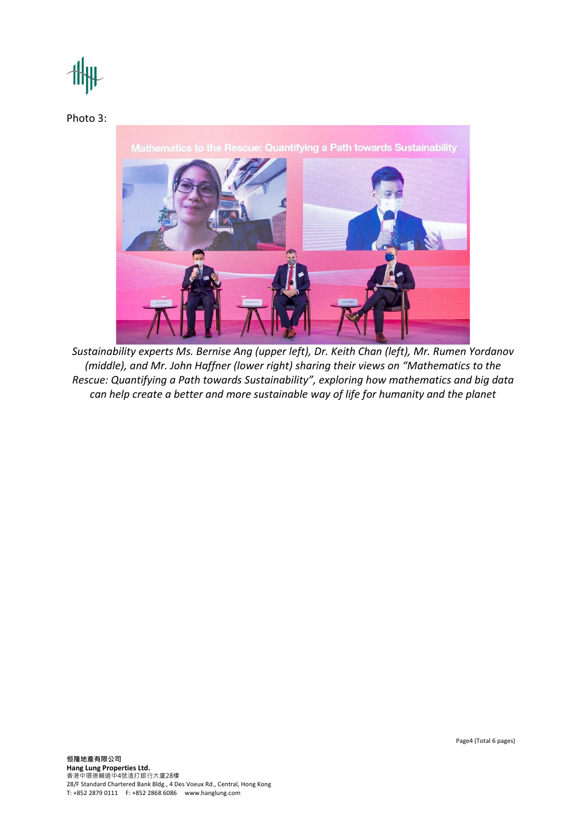

Photo 3:

Mathematics to the Rescue: Quantifying a Path towards Sustainability



*Sustainability experts Ms. Bernise Ang (upper left), Dr. Keith Chan (left), Mr. Rumen Yordanov (middle), and Mr. John Haffner (lower right) sharing their views on "Mathematics to the Rescue: Quantifying a Path towards Sustainability", exploring how mathematics and big data can help create a better and more sustainable way of life for humanity and the planet*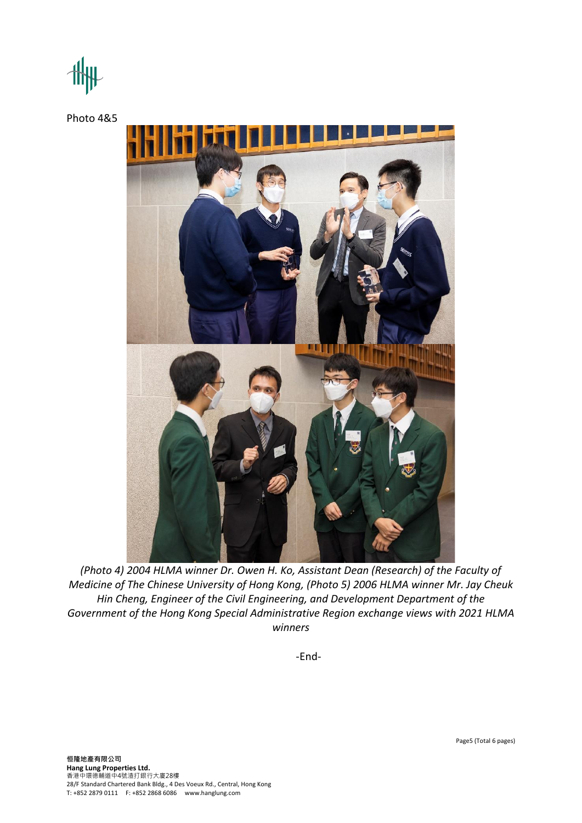Photo 4&5



*(Photo 4) 2004 HLMA winner Dr. Owen H. Ko, Assistant Dean (Research) of the Faculty of Medicine of The Chinese University of Hong Kong, (Photo 5) 2006 HLMA winner Mr. Jay Cheuk Hin Cheng, Engineer of the Civil Engineering, and Development Department of the Government of the Hong Kong Special Administrative Region exchange views with 2021 HLMA winners*

-End-